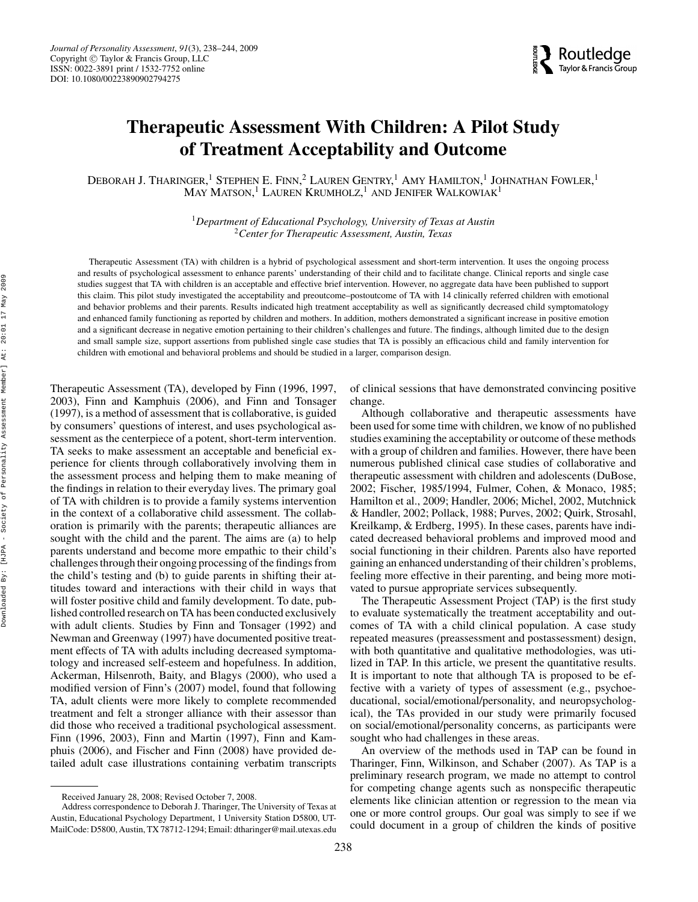

# **Therapeutic Assessment With Children: A Pilot Study of Treatment Acceptability and Outcome**

DEBORAH J. THARINGER, $^1$  Stephen E. Finn, $^2$  Lauren Gentry, $^1$  Amy Hamilton, $^1$  Johnathan Fowler, $^1$ MAY MATSON, $^1$  Lauren Krumholz, $^1$  and Jenifer Walkowiak $^1$ 

> <sup>1</sup>*Department of Educational Psychology, University of Texas at Austin* <sup>2</sup>*Center for Therapeutic Assessment, Austin, Texas*

Therapeutic Assessment (TA) with children is a hybrid of psychological assessment and short-term intervention. It uses the ongoing process and results of psychological assessment to enhance parents' understanding of their child and to facilitate change. Clinical reports and single case studies suggest that TA with children is an acceptable and effective brief intervention. However, no aggregate data have been published to support this claim. This pilot study investigated the acceptability and preoutcome–postoutcome of TA with 14 clinically referred children with emotional and behavior problems and their parents. Results indicated high treatment acceptability as well as significantly decreased child symptomatology and enhanced family functioning as reported by children and mothers. In addition, mothers demonstrated a significant increase in positive emotion and a significant decrease in negative emotion pertaining to their children's challenges and future. The findings, although limited due to the design and small sample size, support assertions from published single case studies that TA is possibly an efficacious child and family intervention for children with emotional and behavioral problems and should be studied in a larger, comparison design.

Therapeutic Assessment (TA), developed by Finn (1996, 1997, 2003), Finn and Kamphuis (2006), and Finn and Tonsager (1997), is a method of assessment that is collaborative, is guided by consumers' questions of interest, and uses psychological assessment as the centerpiece of a potent, short-term intervention. TA seeks to make assessment an acceptable and beneficial experience for clients through collaboratively involving them in the assessment process and helping them to make meaning of the findings in relation to their everyday lives. The primary goal of TA with children is to provide a family systems intervention in the context of a collaborative child assessment. The collaboration is primarily with the parents; therapeutic alliances are sought with the child and the parent. The aims are (a) to help parents understand and become more empathic to their child's challenges through their ongoing processing of the findings from the child's testing and (b) to guide parents in shifting their attitudes toward and interactions with their child in ways that will foster positive child and family development. To date, published controlled research on TA has been conducted exclusively with adult clients. Studies by Finn and Tonsager (1992) and Newman and Greenway (1997) have documented positive treatment effects of TA with adults including decreased symptomatology and increased self-esteem and hopefulness. In addition, Ackerman, Hilsenroth, Baity, and Blagys (2000), who used a modified version of Finn's (2007) model, found that following TA, adult clients were more likely to complete recommended treatment and felt a stronger alliance with their assessor than did those who received a traditional psychological assessment. Finn (1996, 2003), Finn and Martin (1997), Finn and Kamphuis (2006), and Fischer and Finn (2008) have provided detailed adult case illustrations containing verbatim transcripts

238

of clinical sessions that have demonstrated convincing positive change.

Although collaborative and therapeutic assessments have been used for some time with children, we know of no published studies examining the acceptability or outcome of these methods with a group of children and families. However, there have been numerous published clinical case studies of collaborative and therapeutic assessment with children and adolescents (DuBose, 2002; Fischer, 1985/1994, Fulmer, Cohen, & Monaco, 1985; Hamilton et al., 2009; Handler, 2006; Michel, 2002, Mutchnick & Handler, 2002; Pollack, 1988; Purves, 2002; Quirk, Strosahl, Kreilkamp, & Erdberg, 1995). In these cases, parents have indicated decreased behavioral problems and improved mood and social functioning in their children. Parents also have reported gaining an enhanced understanding of their children's problems, feeling more effective in their parenting, and being more motivated to pursue appropriate services subsequently.

The Therapeutic Assessment Project (TAP) is the first study to evaluate systematically the treatment acceptability and outcomes of TA with a child clinical population. A case study repeated measures (preassessment and postassessment) design, with both quantitative and qualitative methodologies, was utilized in TAP. In this article, we present the quantitative results. It is important to note that although TA is proposed to be effective with a variety of types of assessment (e.g., psychoeducational, social/emotional/personality, and neuropsychological), the TAs provided in our study were primarily focused on social/emotional/personality concerns, as participants were sought who had challenges in these areas.

An overview of the methods used in TAP can be found in Tharinger, Finn, Wilkinson, and Schaber (2007). As TAP is a preliminary research program, we made no attempt to control for competing change agents such as nonspecific therapeutic elements like clinician attention or regression to the mean via one or more control groups. Our goal was simply to see if we could document in a group of children the kinds of positive

Received January 28, 2008; Revised October 7, 2008.

Address correspondence to Deborah J. Tharinger, The University of Texas at Austin, Educational Psychology Department, 1 University Station D5800, UT-MailCode: D5800, Austin, TX 78712-1294; Email: dtharinger@mail.utexas.edu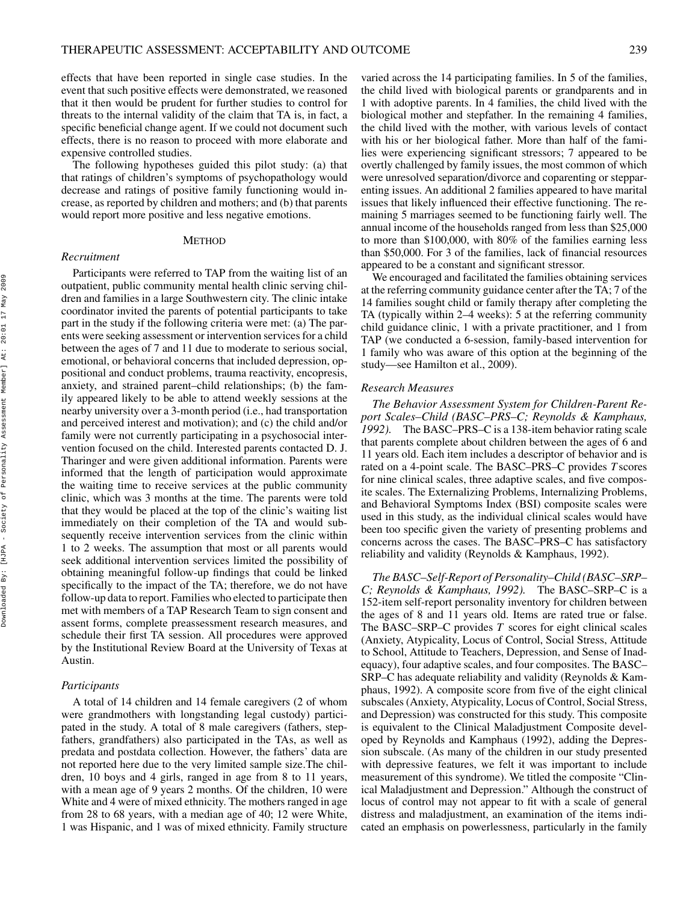effects that have been reported in single case studies. In the event that such positive effects were demonstrated, we reasoned that it then would be prudent for further studies to control for threats to the internal validity of the claim that TA is, in fact, a specific beneficial change agent. If we could not document such effects, there is no reason to proceed with more elaborate and expensive controlled studies.

The following hypotheses guided this pilot study: (a) that that ratings of children's symptoms of psychopathology would decrease and ratings of positive family functioning would increase, as reported by children and mothers; and (b) that parents would report more positive and less negative emotions.

# **METHOD**

# *Recruitment*

Participants were referred to TAP from the waiting list of an outpatient, public community mental health clinic serving children and families in a large Southwestern city. The clinic intake coordinator invited the parents of potential participants to take part in the study if the following criteria were met: (a) The parents were seeking assessment or intervention services for a child between the ages of 7 and 11 due to moderate to serious social, emotional, or behavioral concerns that included depression, oppositional and conduct problems, trauma reactivity, encopresis, anxiety, and strained parent–child relationships; (b) the family appeared likely to be able to attend weekly sessions at the nearby university over a 3-month period (i.e., had transportation and perceived interest and motivation); and (c) the child and/or family were not currently participating in a psychosocial intervention focused on the child. Interested parents contacted D. J. Tharinger and were given additional information. Parents were informed that the length of participation would approximate the waiting time to receive services at the public community clinic, which was 3 months at the time. The parents were told that they would be placed at the top of the clinic's waiting list immediately on their completion of the TA and would subsequently receive intervention services from the clinic within 1 to 2 weeks. The assumption that most or all parents would seek additional intervention services limited the possibility of obtaining meaningful follow-up findings that could be linked specifically to the impact of the TA; therefore, we do not have follow-up data to report. Families who elected to participate then met with members of a TAP Research Team to sign consent and assent forms, complete preassessment research measures, and schedule their first TA session. All procedures were approved by the Institutional Review Board at the University of Texas at Austin.

# *Participants*

A total of 14 children and 14 female caregivers (2 of whom were grandmothers with longstanding legal custody) participated in the study. A total of 8 male caregivers (fathers, stepfathers, grandfathers) also participated in the TAs, as well as predata and postdata collection. However, the fathers' data are not reported here due to the very limited sample size*.*The children, 10 boys and 4 girls, ranged in age from 8 to 11 years, with a mean age of 9 years 2 months. Of the children, 10 were White and 4 were of mixed ethnicity. The mothers ranged in age from 28 to 68 years, with a median age of 40; 12 were White, 1 was Hispanic, and 1 was of mixed ethnicity. Family structure

varied across the 14 participating families. In 5 of the families, the child lived with biological parents or grandparents and in 1 with adoptive parents. In 4 families, the child lived with the biological mother and stepfather. In the remaining 4 families, the child lived with the mother, with various levels of contact with his or her biological father. More than half of the families were experiencing significant stressors; 7 appeared to be overtly challenged by family issues, the most common of which were unresolved separation/divorce and coparenting or stepparenting issues. An additional 2 families appeared to have marital issues that likely influenced their effective functioning. The remaining 5 marriages seemed to be functioning fairly well. The annual income of the households ranged from less than \$25,000 to more than \$100,000, with 80% of the families earning less than \$50,000. For 3 of the families, lack of financial resources appeared to be a constant and significant stressor.

We encouraged and facilitated the families obtaining services at the referring community guidance center after the TA; 7 of the 14 families sought child or family therapy after completing the TA (typically within 2–4 weeks): 5 at the referring community child guidance clinic, 1 with a private practitioner, and 1 from TAP (we conducted a 6-session, family-based intervention for 1 family who was aware of this option at the beginning of the study—see Hamilton et al., 2009).

# *Research Measures*

*The Behavior Assessment System for Children-Parent Report Scales–Child (BASC–PRS–C; Reynolds & Kamphaus, 1992).* The BASC–PRS–C is a 138-item behavior rating scale that parents complete about children between the ages of 6 and 11 years old. Each item includes a descriptor of behavior and is rated on a 4-point scale. The BASC–PRS–C provides *T* scores for nine clinical scales, three adaptive scales, and five composite scales. The Externalizing Problems, Internalizing Problems, and Behavioral Symptoms Index (BSI) composite scales were used in this study, as the individual clinical scales would have been too specific given the variety of presenting problems and concerns across the cases. The BASC–PRS–C has satisfactory reliability and validity (Reynolds & Kamphaus, 1992).

*The BASC–Self-Report of Personality–Child (BASC–SRP– C; Reynolds & Kamphaus, 1992).* The BASC–SRP–C is a 152-item self-report personality inventory for children between the ages of 8 and 11 years old. Items are rated true or false. The BASC–SRP–C provides *T* scores for eight clinical scales (Anxiety, Atypicality, Locus of Control, Social Stress, Attitude to School, Attitude to Teachers, Depression, and Sense of Inadequacy), four adaptive scales, and four composites. The BASC– SRP–C has adequate reliability and validity (Reynolds & Kamphaus, 1992). A composite score from five of the eight clinical subscales (Anxiety, Atypicality, Locus of Control, Social Stress, and Depression) was constructed for this study. This composite is equivalent to the Clinical Maladjustment Composite developed by Reynolds and Kamphaus (1992), adding the Depression subscale. (As many of the children in our study presented with depressive features, we felt it was important to include measurement of this syndrome). We titled the composite "Clinical Maladjustment and Depression." Although the construct of locus of control may not appear to fit with a scale of general distress and maladjustment, an examination of the items indicated an emphasis on powerlessness, particularly in the family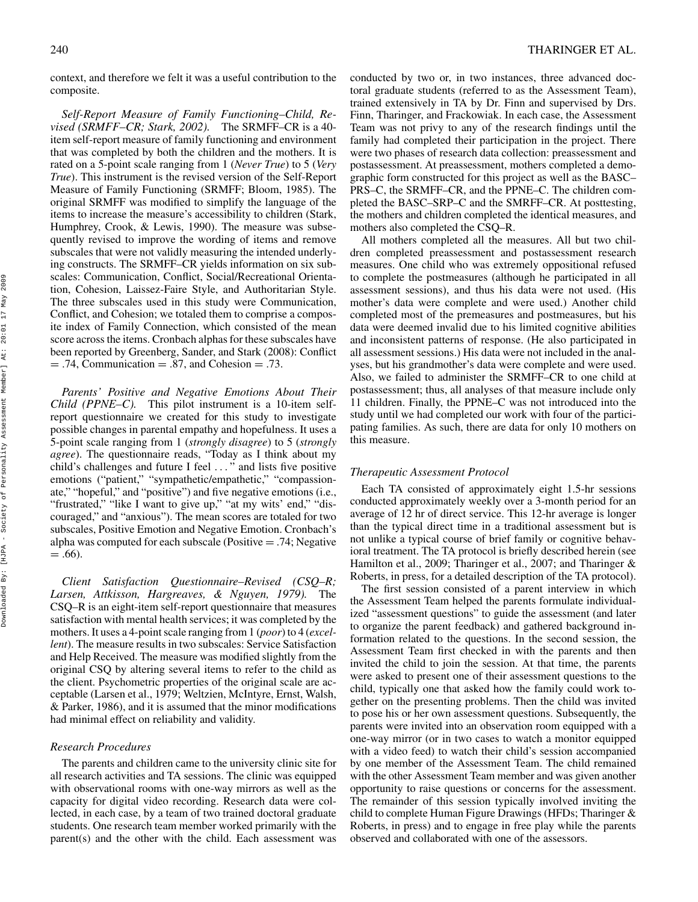context, and therefore we felt it was a useful contribution to the composite.

*Self-Report Measure of Family Functioning–Child, Revised (SRMFF–CR; Stark, 2002).* The SRMFF–CR is a 40 item self-report measure of family functioning and environment that was completed by both the children and the mothers. It is rated on a 5-point scale ranging from 1 (*Never True*) to 5 (*Very True*). This instrument is the revised version of the Self-Report Measure of Family Functioning (SRMFF; Bloom, 1985). The original SRMFF was modified to simplify the language of the items to increase the measure's accessibility to children (Stark, Humphrey, Crook, & Lewis, 1990). The measure was subsequently revised to improve the wording of items and remove subscales that were not validly measuring the intended underlying constructs. The SRMFF–CR yields information on six subscales: Communication, Conflict, Social/Recreational Orientation, Cohesion, Laissez-Faire Style, and Authoritarian Style. The three subscales used in this study were Communication, Conflict, and Cohesion; we totaled them to comprise a composite index of Family Connection, which consisted of the mean score across the items. Cronbach alphas for these subscales have been reported by Greenberg, Sander, and Stark (2008): Conflict  $= .74$ , Communication  $= .87$ , and Cohesion  $= .73$ .

*Parents' Positive and Negative Emotions About Their Child (PPNE–C).* This pilot instrument is a 10-item selfreport questionnaire we created for this study to investigate possible changes in parental empathy and hopefulness. It uses a 5-point scale ranging from 1 (*strongly disagree*) to 5 (*strongly agree*). The questionnaire reads, "Today as I think about my child's challenges and future I feel . . . " and lists five positive emotions ("patient," "sympathetic/empathetic," "compassionate," "hopeful," and "positive") and five negative emotions (i.e., "frustrated," "like I want to give up," "at my wits' end," "discouraged," and "anxious"). The mean scores are totaled for two subscales, Positive Emotion and Negative Emotion. Cronbach's alpha was computed for each subscale (Positive  $= .74$ ; Negative  $= .66$ ).

*Client Satisfaction Questionnaire–Revised (CSQ–R; Larsen, Attkisson, Hargreaves, & Nguyen, 1979).* The CSQ–R is an eight-item self-report questionnaire that measures satisfaction with mental health services; it was completed by the mothers. It uses a 4-point scale ranging from 1 (*poor*) to 4 (*excellent*). The measure results in two subscales: Service Satisfaction and Help Received. The measure was modified slightly from the original CSQ by altering several items to refer to the child as the client. Psychometric properties of the original scale are acceptable (Larsen et al., 1979; Weltzien, McIntyre, Ernst, Walsh, & Parker, 1986), and it is assumed that the minor modifications had minimal effect on reliability and validity.

#### *Research Procedures*

The parents and children came to the university clinic site for all research activities and TA sessions. The clinic was equipped with observational rooms with one-way mirrors as well as the capacity for digital video recording. Research data were collected, in each case, by a team of two trained doctoral graduate students. One research team member worked primarily with the parent(s) and the other with the child. Each assessment was

conducted by two or, in two instances, three advanced doctoral graduate students (referred to as the Assessment Team), trained extensively in TA by Dr. Finn and supervised by Drs. Finn, Tharinger, and Frackowiak*.* In each case, the Assessment Team was not privy to any of the research findings until the family had completed their participation in the project. There were two phases of research data collection: preassessment and postassessment. At preassessment, mothers completed a demographic form constructed for this project as well as the BASC– PRS–C, the SRMFF–CR, and the PPNE–C. The children completed the BASC–SRP–C and the SMRFF–CR. At posttesting, the mothers and children completed the identical measures, and mothers also completed the CSQ–R.

All mothers completed all the measures. All but two children completed preassessment and postassessment research measures. One child who was extremely oppositional refused to complete the postmeasures (although he participated in all assessment sessions), and thus his data were not used. (His mother's data were complete and were used.) Another child completed most of the premeasures and postmeasures, but his data were deemed invalid due to his limited cognitive abilities and inconsistent patterns of response. (He also participated in all assessment sessions.) His data were not included in the analyses, but his grandmother's data were complete and were used. Also, we failed to administer the SRMFF–CR to one child at postassessment; thus, all analyses of that measure include only 11 children. Finally, the PPNE–C was not introduced into the study until we had completed our work with four of the participating families. As such, there are data for only 10 mothers on this measure.

## *Therapeutic Assessment Protocol*

Each TA consisted of approximately eight 1.5-hr sessions conducted approximately weekly over a 3-month period for an average of 12 hr of direct service. This 12-hr average is longer than the typical direct time in a traditional assessment but is not unlike a typical course of brief family or cognitive behavioral treatment. The TA protocol is briefly described herein (see Hamilton et al., 2009; Tharinger et al., 2007; and Tharinger & Roberts, in press, for a detailed description of the TA protocol).

The first session consisted of a parent interview in which the Assessment Team helped the parents formulate individualized "assessment questions" to guide the assessment (and later to organize the parent feedback) and gathered background information related to the questions. In the second session, the Assessment Team first checked in with the parents and then invited the child to join the session. At that time, the parents were asked to present one of their assessment questions to the child, typically one that asked how the family could work together on the presenting problems. Then the child was invited to pose his or her own assessment questions. Subsequently, the parents were invited into an observation room equipped with a one-way mirror (or in two cases to watch a monitor equipped with a video feed) to watch their child's session accompanied by one member of the Assessment Team. The child remained with the other Assessment Team member and was given another opportunity to raise questions or concerns for the assessment. The remainder of this session typically involved inviting the child to complete Human Figure Drawings (HFDs; Tharinger & Roberts, in press) and to engage in free play while the parents observed and collaborated with one of the assessors.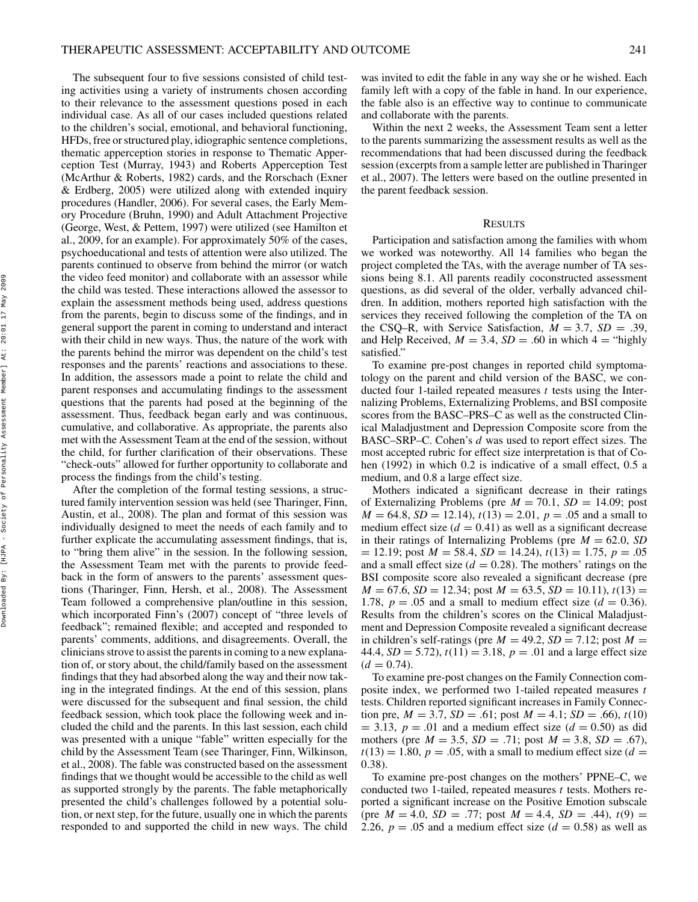The subsequent four to five sessions consisted of child testing activities using a variety of instruments chosen according to their relevance to the assessment questions posed in each individual case. As all of our cases included questions related to the children's social, emotional, and behavioral functioning, HFDs, free or structured play, idiographic sentence completions, thematic apperception stories in response to Thematic Apperception Test (Murray, 1943) and Roberts Apperception Test (McArthur & Roberts, 1982) cards, and the Rorschach (Exner & Erdberg, 2005) were utilized along with extended inquiry procedures (Handler, 2006). For several cases, the Early Memory Procedure (Bruhn, 1990) and Adult Attachment Projective (George, West, & Pettem, 1997) were utilized (see Hamilton et al., 2009, for an example). For approximately 50% of the cases, psychoeducational and tests of attention were also utilized. The parents continued to observe from behind the mirror (or watch the video feed monitor) and collaborate with an assessor while the child was tested. These interactions allowed the assessor to explain the assessment methods being used, address questions from the parents, begin to discuss some of the findings, and in general support the parent in coming to understand and interact with their child in new ways. Thus, the nature of the work with the parents behind the mirror was dependent on the child's test responses and the parents' reactions and associations to these. In addition, the assessors made a point to relate the child and parent responses and accumulating findings to the assessment questions that the parents had posed at the beginning of the assessment. Thus, feedback began early and was continuous, cumulative, and collaborative. As appropriate, the parents also met with the Assessment Team at the end of the session, without the child, for further clarification of their observations. These "check-outs" allowed for further opportunity to collaborate and process the findings from the child's testing.

After the completion of the formal testing sessions, a structured family intervention session was held (see Tharinger, Finn, Austin, et al., 2008). The plan and format of this session was individually designed to meet the needs of each family and to further explicate the accumulating assessment findings, that is, to "bring them alive" in the session. In the following session, the Assessment Team met with the parents to provide feedback in the form of answers to the parents' assessment questions (Tharinger, Finn, Hersh, et al., 2008). The Assessment Team followed a comprehensive plan/outline in this session, which incorporated Finn's (2007) concept of "three levels of feedback"; remained flexible; and accepted and responded to parents' comments, additions, and disagreements. Overall, the clinicians strove to assist the parents in coming to a new explanation of, or story about, the child/family based on the assessment findings that they had absorbed along the way and their now taking in the integrated findings. At the end of this session, plans were discussed for the subsequent and final session, the child feedback session, which took place the following week and included the child and the parents. In this last session, each child was presented with a unique "fable" written especially for the child by the Assessment Team (see Tharinger, Finn, Wilkinson, et al., 2008). The fable was constructed based on the assessment findings that we thought would be accessible to the child as well as supported strongly by the parents. The fable metaphorically presented the child's challenges followed by a potential solution, or next step, for the future, usually one in which the parents responded to and supported the child in new ways. The child

was invited to edit the fable in any way she or he wished. Each family left with a copy of the fable in hand. In our experience, the fable also is an effective way to continue to communicate and collaborate with the parents.

Within the next 2 weeks, the Assessment Team sent a letter to the parents summarizing the assessment results as well as the recommendations that had been discussed during the feedback session (excerpts from a sample letter are published in Tharinger et al., 2007). The letters were based on the outline presented in the parent feedback session.

# RESULTS

Participation and satisfaction among the families with whom we worked was noteworthy. All 14 families who began the project completed the TAs, with the average number of TA sessions being 8.1. All parents readily coconstructed assessment questions, as did several of the older, verbally advanced children. In addition, mothers reported high satisfaction with the services they received following the completion of the TA on the CSQ–R, with Service Satisfaction,  $M = 3.7$ ,  $SD = .39$ , and Help Received,  $M = 3.4$ ,  $SD = .60$  in which  $4 =$  "highly satisfied."

To examine pre-post changes in reported child symptomatology on the parent and child version of the BASC, we conducted four 1-tailed repeated measures *t* tests using the Internalizing Problems, Externalizing Problems, and BSI composite scores from the BASC–PRS–C as well as the constructed Clinical Maladjustment and Depression Composite score from the BASC–SRP–C. Cohen's *d* was used to report effect sizes. The most accepted rubric for effect size interpretation is that of Cohen (1992) in which 0.2 is indicative of a small effect, 0.5 a medium, and 0.8 a large effect size.

Mothers indicated a significant decrease in their ratings of Externalizing Problems (pre  $M = 70.1$ ,  $SD = 14.09$ ; post  $M = 64.8$ ,  $SD = 12.14$ ,  $t(13) = 2.01$ ,  $p = .05$  and a small to medium effect size  $(d = 0.41)$  as well as a significant decrease in their ratings of Internalizing Problems (pre  $M = 62.0$ , *SD*  $= 12.19$ ; post  $M = 58.4$ ,  $SD = 14.24$ ),  $t(13) = 1.75$ ,  $p = .05$ and a small effect size  $(d = 0.28)$ . The mothers' ratings on the BSI composite score also revealed a significant decrease (pre  $M = 67.6$ ,  $SD = 12.34$ ; post  $M = 63.5$ ,  $SD = 10.11$ ),  $t(13) =$ 1.78,  $p = .05$  and a small to medium effect size  $(d = 0.36)$ . Results from the children's scores on the Clinical Maladjustment and Depression Composite revealed a significant decrease in children's self-ratings (pre  $M = 49.2$ ,  $SD = 7.12$ ; post  $M =$ 44.4,  $SD = 5.72$ ,  $t(11) = 3.18$ ,  $p = .01$  and a large effect size  $(d = 0.74)$ .

To examine pre-post changes on the Family Connection composite index, we performed two 1-tailed repeated measures *t* tests. Children reported significant increases in Family Connection pre,  $M = 3.7$ ,  $SD = .61$ ; post  $M = 4.1$ ;  $SD = .66$ ),  $t(10)$  $= 3.13$ ,  $p = .01$  and a medium effect size ( $d = 0.50$ ) as did mothers (pre  $M = 3.5$ ,  $SD = .71$ ; post  $M = 3.8$ ,  $SD = .67$ ),  $t(13) = 1.80$ ,  $p = .05$ , with a small to medium effect size (*d* = 0*.*38).

To examine pre-post changes on the mothers' PPNE–C, we conducted two 1-tailed, repeated measures *t* tests. Mothers reported a significant increase on the Positive Emotion subscale (pre  $M = 4.0$ ,  $SD = .77$ ; post  $M = 4.4$ ,  $SD = .44$ ),  $t(9) =$ 2.26,  $p = .05$  and a medium effect size ( $d = 0.58$ ) as well as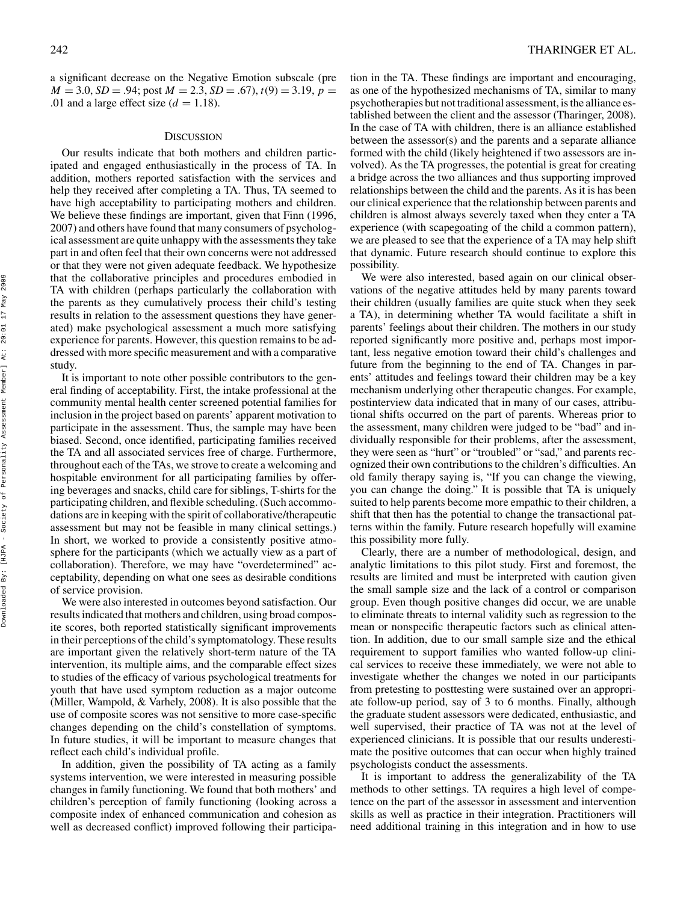a significant decrease on the Negative Emotion subscale (pre  $M = 3.0$ ,  $SD = .94$ ; post  $M = 2.3$ ,  $SD = .67$ ),  $t(9) = 3.19$ ,  $p =$ .01 and a large effect size  $(d = 1.18)$ .

#### **DISCUSSION**

Our results indicate that both mothers and children participated and engaged enthusiastically in the process of TA. In addition, mothers reported satisfaction with the services and help they received after completing a TA. Thus, TA seemed to have high acceptability to participating mothers and children. We believe these findings are important, given that Finn (1996, 2007) and others have found that many consumers of psychological assessment are quite unhappy with the assessments they take part in and often feel that their own concerns were not addressed or that they were not given adequate feedback. We hypothesize that the collaborative principles and procedures embodied in TA with children (perhaps particularly the collaboration with the parents as they cumulatively process their child's testing results in relation to the assessment questions they have generated) make psychological assessment a much more satisfying experience for parents. However, this question remains to be addressed with more specific measurement and with a comparative study.

It is important to note other possible contributors to the general finding of acceptability. First, the intake professional at the community mental health center screened potential families for inclusion in the project based on parents' apparent motivation to participate in the assessment. Thus, the sample may have been biased. Second, once identified, participating families received the TA and all associated services free of charge. Furthermore, throughout each of the TAs, we strove to create a welcoming and hospitable environment for all participating families by offering beverages and snacks, child care for siblings, T-shirts for the participating children, and flexible scheduling. (Such accommodations are in keeping with the spirit of collaborative/therapeutic assessment but may not be feasible in many clinical settings.) In short, we worked to provide a consistently positive atmosphere for the participants (which we actually view as a part of collaboration). Therefore, we may have "overdetermined" acceptability, depending on what one sees as desirable conditions of service provision.

We were also interested in outcomes beyond satisfaction. Our results indicated that mothers and children, using broad composite scores, both reported statistically significant improvements in their perceptions of the child's symptomatology. These results are important given the relatively short-term nature of the TA intervention, its multiple aims, and the comparable effect sizes to studies of the efficacy of various psychological treatments for youth that have used symptom reduction as a major outcome (Miller, Wampold, & Varhely, 2008). It is also possible that the use of composite scores was not sensitive to more case-specific changes depending on the child's constellation of symptoms. In future studies, it will be important to measure changes that reflect each child's individual profile.

In addition, given the possibility of TA acting as a family systems intervention, we were interested in measuring possible changes in family functioning. We found that both mothers' and children's perception of family functioning (looking across a composite index of enhanced communication and cohesion as well as decreased conflict) improved following their participation in the TA. These findings are important and encouraging, as one of the hypothesized mechanisms of TA, similar to many psychotherapies but not traditional assessment, is the alliance established between the client and the assessor (Tharinger, 2008). In the case of TA with children, there is an alliance established between the assessor(s) and the parents and a separate alliance formed with the child (likely heightened if two assessors are involved). As the TA progresses, the potential is great for creating a bridge across the two alliances and thus supporting improved relationships between the child and the parents. As it is has been our clinical experience that the relationship between parents and children is almost always severely taxed when they enter a TA experience (with scapegoating of the child a common pattern), we are pleased to see that the experience of a TA may help shift that dynamic. Future research should continue to explore this possibility.

We were also interested, based again on our clinical observations of the negative attitudes held by many parents toward their children (usually families are quite stuck when they seek a TA), in determining whether TA would facilitate a shift in parents' feelings about their children. The mothers in our study reported significantly more positive and, perhaps most important, less negative emotion toward their child's challenges and future from the beginning to the end of TA. Changes in parents' attitudes and feelings toward their children may be a key mechanism underlying other therapeutic changes. For example, postinterview data indicated that in many of our cases, attributional shifts occurred on the part of parents. Whereas prior to the assessment, many children were judged to be "bad" and individually responsible for their problems, after the assessment, they were seen as "hurt" or "troubled" or "sad," and parents recognized their own contributions to the children's difficulties. An old family therapy saying is, "If you can change the viewing, you can change the doing." It is possible that TA is uniquely suited to help parents become more empathic to their children, a shift that then has the potential to change the transactional patterns within the family. Future research hopefully will examine this possibility more fully.

Clearly, there are a number of methodological, design, and analytic limitations to this pilot study. First and foremost, the results are limited and must be interpreted with caution given the small sample size and the lack of a control or comparison group. Even though positive changes did occur, we are unable to eliminate threats to internal validity such as regression to the mean or nonspecific therapeutic factors such as clinical attention. In addition, due to our small sample size and the ethical requirement to support families who wanted follow-up clinical services to receive these immediately, we were not able to investigate whether the changes we noted in our participants from pretesting to posttesting were sustained over an appropriate follow-up period, say of 3 to 6 months. Finally, although the graduate student assessors were dedicated, enthusiastic, and well supervised, their practice of TA was not at the level of experienced clinicians. It is possible that our results underestimate the positive outcomes that can occur when highly trained psychologists conduct the assessments.

It is important to address the generalizability of the TA methods to other settings. TA requires a high level of competence on the part of the assessor in assessment and intervention skills as well as practice in their integration. Practitioners will need additional training in this integration and in how to use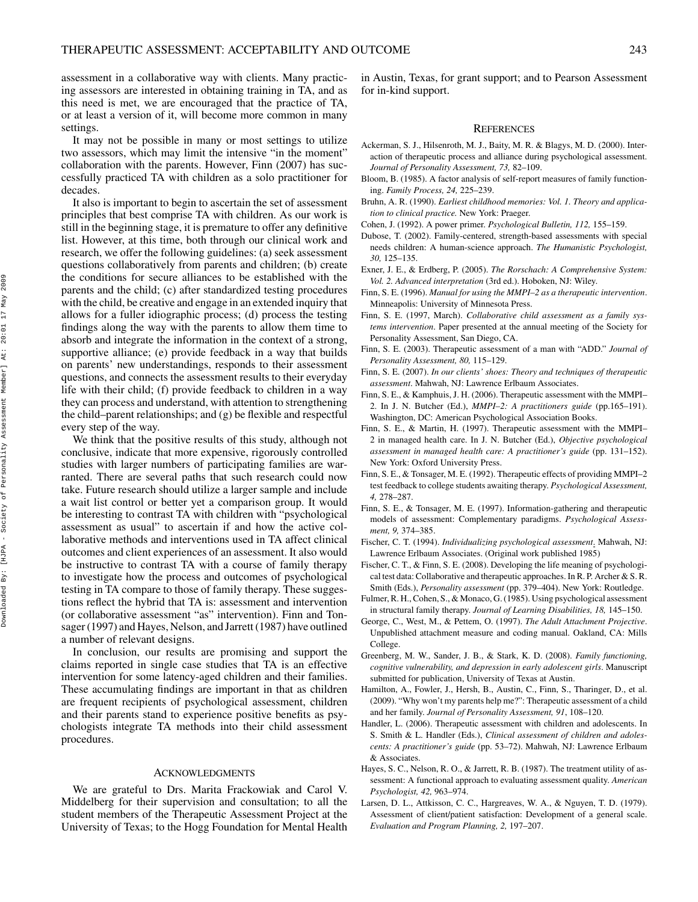assessment in a collaborative way with clients. Many practicing assessors are interested in obtaining training in TA, and as this need is met, we are encouraged that the practice of TA, or at least a version of it, will become more common in many settings.

It may not be possible in many or most settings to utilize two assessors, which may limit the intensive "in the moment" collaboration with the parents. However, Finn (2007) has successfully practiced TA with children as a solo practitioner for decades.

It also is important to begin to ascertain the set of assessment principles that best comprise TA with children. As our work is still in the beginning stage, it is premature to offer any definitive list. However, at this time, both through our clinical work and research, we offer the following guidelines: (a) seek assessment questions collaboratively from parents and children; (b) create the conditions for secure alliances to be established with the parents and the child; (c) after standardized testing procedures with the child, be creative and engage in an extended inquiry that allows for a fuller idiographic process; (d) process the testing findings along the way with the parents to allow them time to absorb and integrate the information in the context of a strong, supportive alliance; (e) provide feedback in a way that builds on parents' new understandings, responds to their assessment questions, and connects the assessment results to their everyday life with their child; (f) provide feedback to children in a way they can process and understand, with attention to strengthening the child–parent relationships; and (g) be flexible and respectful every step of the way.

We think that the positive results of this study, although not conclusive, indicate that more expensive, rigorously controlled studies with larger numbers of participating families are warranted. There are several paths that such research could now take. Future research should utilize a larger sample and include a wait list control or better yet a comparison group. It would be interesting to contrast TA with children with "psychological assessment as usual" to ascertain if and how the active collaborative methods and interventions used in TA affect clinical outcomes and client experiences of an assessment. It also would be instructive to contrast TA with a course of family therapy to investigate how the process and outcomes of psychological testing in TA compare to those of family therapy. These suggestions reflect the hybrid that TA is: assessment and intervention (or collaborative assessment "as" intervention). Finn and Tonsager (1997) and Hayes, Nelson, and Jarrett (1987) have outlined a number of relevant designs.

In conclusion, our results are promising and support the claims reported in single case studies that TA is an effective intervention for some latency-aged children and their families. These accumulating findings are important in that as children are frequent recipients of psychological assessment, children and their parents stand to experience positive benefits as psychologists integrate TA methods into their child assessment procedures.

# **ACKNOWLEDGMENTS**

We are grateful to Drs. Marita Frackowiak and Carol V. Middelberg for their supervision and consultation; to all the student members of the Therapeutic Assessment Project at the University of Texas; to the Hogg Foundation for Mental Health

in Austin, Texas, for grant support; and to Pearson Assessment for in-kind support.

#### **REFERENCES**

- Ackerman, S. J., Hilsenroth, M. J., Baity, M. R. & Blagys, M. D. (2000). Interaction of therapeutic process and alliance during psychological assessment. *Journal of Personality Assessment, 73,* 82–109.
- Bloom, B. (1985). A factor analysis of self-report measures of family functioning. *Family Process, 24,* 225–239.
- Bruhn, A. R. (1990). *Earliest childhood memories: Vol. 1. Theory and application to clinical practice.* New York: Praeger.
- Cohen, J. (1992). A power primer. *Psychological Bulletin, 112,* 155–159.
- Dubose, T. (2002). Family-centered, strength-based assessments with special needs children: A human-science approach. *The Humanistic Psychologist, 30,* 125–135.
- Exner, J. E., & Erdberg, P. (2005). *The Rorschach: A Comprehensive System: Vol. 2. Advanced interpretation* (3rd ed.). Hoboken, NJ: Wiley.
- Finn, S. E. (1996). *Manual for using the MMPI–2 as a therapeutic intervention*. Minneapolis: University of Minnesota Press.
- Finn, S. E. (1997, March). *Collaborative child assessment as a family systems intervention*. Paper presented at the annual meeting of the Society for Personality Assessment, San Diego, CA.
- Finn, S. E. (2003). Therapeutic assessment of a man with "ADD." *Journal of Personality Assessment, 80,* 115–129.
- Finn, S. E. (2007). *In our clients' shoes: Theory and techniques of therapeutic assessment*. Mahwah, NJ: Lawrence Erlbaum Associates.
- Finn, S. E., & Kamphuis, J. H. (2006). Therapeutic assessment with the MMPI– 2. In J. N. Butcher (Ed.), *MMPI–2: A practitioners guide* (pp.165–191). Washington, DC: American Psychological Association Books.
- Finn, S. E., & Martin, H. (1997). Therapeutic assessment with the MMPI– 2 in managed health care. In J. N. Butcher (Ed.), *Objective psychological assessment in managed health care: A practitioner's guide* (pp. 131–152). New York: Oxford University Press.
- Finn, S. E., & Tonsager, M. E. (1992). Therapeutic effects of providing MMPI–2 test feedback to college students awaiting therapy. *Psychological Assessment, 4,* 278–287.
- Finn, S. E., & Tonsager, M. E. (1997). Information-gathering and therapeutic models of assessment: Complementary paradigms. *Psychological Assessment, 9,* 374–385.
- Fischer, C. T. (1994). *Individualizing psychological assessment*. Mahwah, NJ: Lawrence Erlbaum Associates. (Original work published 1985)
- Fischer, C. T., & Finn, S. E. (2008). Developing the life meaning of psychological test data: Collaborative and therapeutic approaches. In R. P. Archer & S. R. Smith (Eds.), *Personality assessment* (pp. 379–404). New York: Routledge.
- Fulmer, R. H., Cohen, S., & Monaco, G. (1985). Using psychological assessment in structural family therapy. *Journal of Learning Disabilities, 18,* 145–150.
- George, C., West, M., & Pettem, O. (1997). *The Adult Attachment Projective*. Unpublished attachment measure and coding manual. Oakland, CA: Mills College.
- Greenberg, M. W., Sander, J. B., & Stark, K. D. (2008). *Family functioning, cognitive vulnerability, and depression in early adolescent girls*. Manuscript submitted for publication, University of Texas at Austin.
- Hamilton, A., Fowler, J., Hersh, B., Austin, C., Finn, S., Tharinger, D., et al. (2009). "Why won't my parents help me?": Therapeutic assessment of a child and her family. *Journal of Personality Assessment, 91*, 108–120.
- Handler, L. (2006). Therapeutic assessment with children and adolescents. In S. Smith & L. Handler (Eds.), *Clinical assessment of children and adolescents: A practitioner's guide* (pp. 53–72). Mahwah, NJ: Lawrence Erlbaum & Associates.
- Hayes, S. C., Nelson, R. O., & Jarrett, R. B. (1987). The treatment utility of assessment: A functional approach to evaluating assessment quality. *American Psychologist, 42,* 963–974.
- Larsen, D. L., Attkisson, C. C., Hargreaves, W. A., & Nguyen, T. D. (1979). Assessment of client/patient satisfaction: Development of a general scale. *Evaluation and Program Planning, 2,* 197–207.